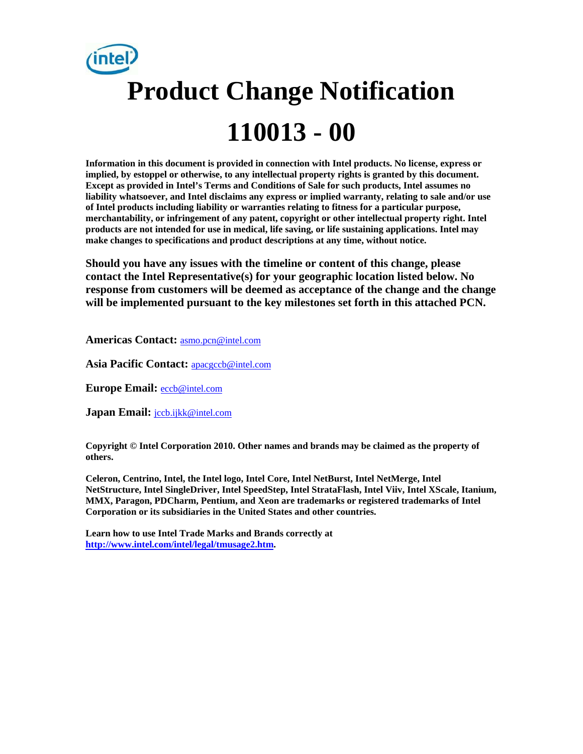# **Product Change Notification 110013 - 00**

**Information in this document is provided in connection with Intel products. No license, express or implied, by estoppel or otherwise, to any intellectual property rights is granted by this document. Except as provided in Intel's Terms and Conditions of Sale for such products, Intel assumes no liability whatsoever, and Intel disclaims any express or implied warranty, relating to sale and/or use of Intel products including liability or warranties relating to fitness for a particular purpose, merchantability, or infringement of any patent, copyright or other intellectual property right. Intel products are not intended for use in medical, life saving, or life sustaining applications. Intel may make changes to specifications and product descriptions at any time, without notice.** 

**Should you have any issues with the timeline or content of this change, please contact the Intel Representative(s) for your geographic location listed below. No response from customers will be deemed as acceptance of the change and the change will be implemented pursuant to the key milestones set forth in this attached PCN.** 

**Americas Contact:** asmo.pcn@intel.com

**Asia Pacific Contact:** apacgccb@intel.com

**Europe Email:** eccb@intel.com

**Japan Email:** jccb.ijkk@intel.com

**Copyright © Intel Corporation 2010. Other names and brands may be claimed as the property of others.**

**Celeron, Centrino, Intel, the Intel logo, Intel Core, Intel NetBurst, Intel NetMerge, Intel NetStructure, Intel SingleDriver, Intel SpeedStep, Intel StrataFlash, Intel Viiv, Intel XScale, Itanium, MMX, Paragon, PDCharm, Pentium, and Xeon are trademarks or registered trademarks of Intel Corporation or its subsidiaries in the United States and other countries.** 

**Learn how to use Intel Trade Marks and Brands correctly at http://www.intel.com/intel/legal/tmusage2.htm.**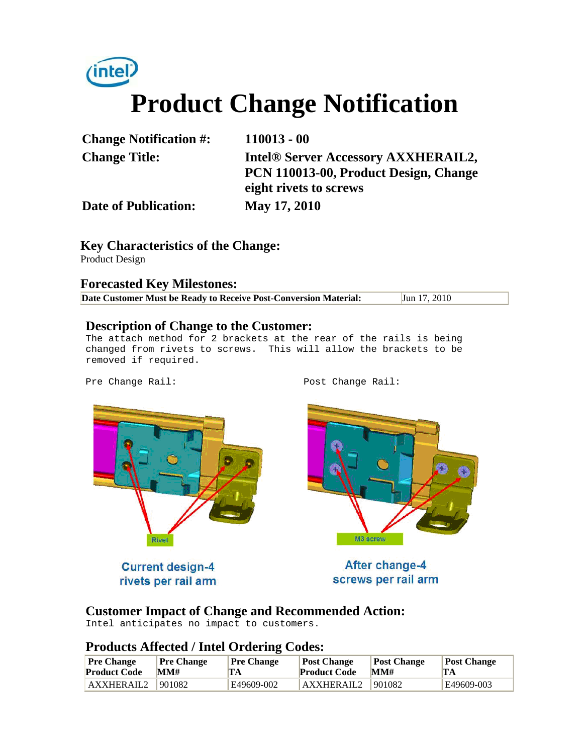

| <b>Change Notification #:</b> | $110013 - 00$                                                                                          |
|-------------------------------|--------------------------------------------------------------------------------------------------------|
| <b>Change Title:</b>          | Intel® Server Accessory AXXHERAIL2,<br>PCN 110013-00, Product Design, Change<br>eight rivets to screws |
| <b>Date of Publication:</b>   | May 17, 2010                                                                                           |

**Key Characteristics of the Change:** Product Design

**Forecasted Key Milestones:** 

**Date Customer Must be Ready to Receive Post-Conversion Material:** Jun 17, 2010

#### **Description of Change to the Customer:**

The attach method for 2 brackets at the rear of the rails is being changed from rivets to screws. This will allow the brackets to be removed if required.

Pre Change Rail: Post Change Rail:



**Current design-4** rivets per rail arm

After change-4 screws per rail arm

M3 screw

#### **Customer Impact of Change and Recommended Action:**

Intel anticipates no impact to customers.

## **Products Affected / Intel Ordering Codes:**

| <b>Pre Change</b>   | <b>Pre Change</b> | <b>Pre Change</b> | <b>Post Change</b>  | Post Change | <b>Post Change</b> |
|---------------------|-------------------|-------------------|---------------------|-------------|--------------------|
| <b>Product Code</b> | MM#               | TA                | <b>Product Code</b> | MM#         | TA                 |
| AXXHERAIL2          | 901082            | E49609-002        | AXXHERAIL2          | 901082      | E49609-003         |